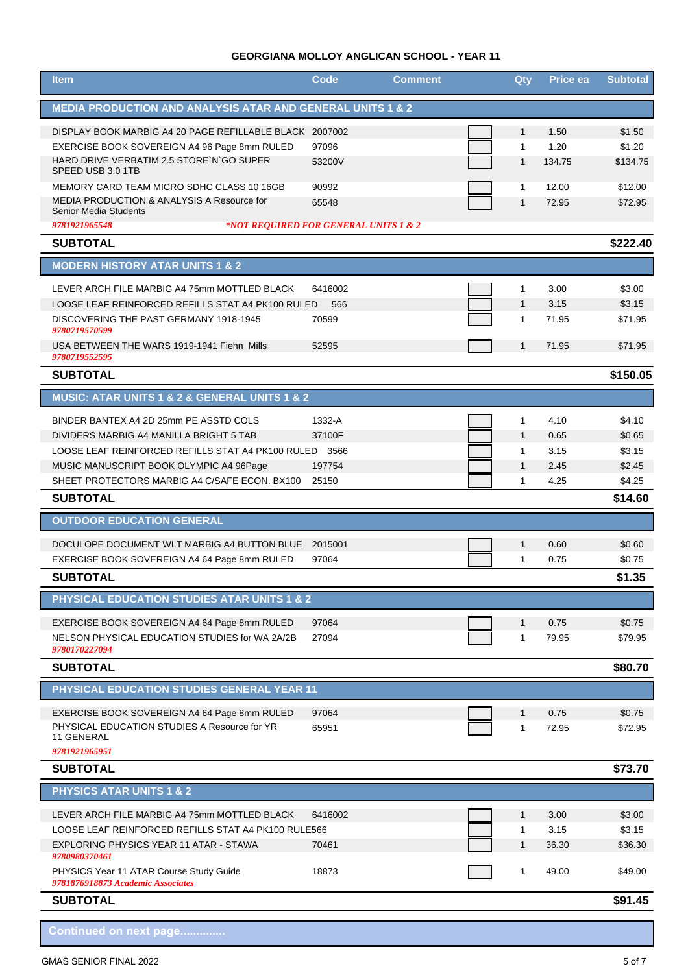## **GEORGIANA MOLLOY ANGLICAN SCHOOL - YEAR 11**

| <b>MEDIA PRODUCTION AND ANALYSIS ATAR AND GENERAL UNITS 1 &amp; 2</b><br>DISPLAY BOOK MARBIG A4 20 PAGE REFILLABLE BLACK 2007002<br>$\mathbf{1}$<br>1.50<br>\$1.50<br>\$1.20<br>97096<br>1.20<br>EXERCISE BOOK SOVEREIGN A4 96 Page 8mm RULED<br>$\mathbf{1}$<br>HARD DRIVE VERBATIM 2.5 STORE`N`GO SUPER<br>53200V<br>$\mathbf{1}$<br>134.75<br>\$134.75<br>SPEED USB 3.0 1TB<br>MEMORY CARD TEAM MICRO SDHC CLASS 10 16GB<br>90992<br>\$12.00<br>$\mathbf{1}$<br>12.00<br><b>MEDIA PRODUCTION &amp; ANALYSIS A Resource for</b><br>65548<br>$\mathbf{1}$<br>72.95<br>\$72.95 |
|--------------------------------------------------------------------------------------------------------------------------------------------------------------------------------------------------------------------------------------------------------------------------------------------------------------------------------------------------------------------------------------------------------------------------------------------------------------------------------------------------------------------------------------------------------------------------------|
|                                                                                                                                                                                                                                                                                                                                                                                                                                                                                                                                                                                |
|                                                                                                                                                                                                                                                                                                                                                                                                                                                                                                                                                                                |
|                                                                                                                                                                                                                                                                                                                                                                                                                                                                                                                                                                                |
|                                                                                                                                                                                                                                                                                                                                                                                                                                                                                                                                                                                |
|                                                                                                                                                                                                                                                                                                                                                                                                                                                                                                                                                                                |
| Senior Media Students                                                                                                                                                                                                                                                                                                                                                                                                                                                                                                                                                          |
| 9781921965548<br>*NOT REQUIRED FOR GENERAL UNITS 1 & 2                                                                                                                                                                                                                                                                                                                                                                                                                                                                                                                         |
| \$222.40<br><b>SUBTOTAL</b>                                                                                                                                                                                                                                                                                                                                                                                                                                                                                                                                                    |
| <b>MODERN HISTORY ATAR UNITS 1 &amp; 2</b>                                                                                                                                                                                                                                                                                                                                                                                                                                                                                                                                     |
| \$3.00<br>LEVER ARCH FILE MARBIG A4 75mm MOTTLED BLACK<br>6416002<br>1<br>3.00                                                                                                                                                                                                                                                                                                                                                                                                                                                                                                 |
| LOOSE LEAF REINFORCED REFILLS STAT A4 PK100 RULED<br>566<br>$\mathbf{1}$<br>3.15<br>\$3.15                                                                                                                                                                                                                                                                                                                                                                                                                                                                                     |
| \$71.95<br>DISCOVERING THE PAST GERMANY 1918-1945<br>70599<br>1<br>71.95<br>9780719570599                                                                                                                                                                                                                                                                                                                                                                                                                                                                                      |
| USA BETWEEN THE WARS 1919-1941 Fiehn Mills<br>52595<br>$\mathbf{1}$<br>71.95<br>\$71.95<br>9780719552595                                                                                                                                                                                                                                                                                                                                                                                                                                                                       |
| \$150.05<br><b>SUBTOTAL</b>                                                                                                                                                                                                                                                                                                                                                                                                                                                                                                                                                    |
| MUSIC: ATAR UNITS 1 & 2 & GENERAL UNITS 1 & 2                                                                                                                                                                                                                                                                                                                                                                                                                                                                                                                                  |
| BINDER BANTEX A4 2D 25mm PE ASSTD COLS<br>\$4.10<br>1332-A<br>$\mathbf{1}$<br>4.10                                                                                                                                                                                                                                                                                                                                                                                                                                                                                             |
| DIVIDERS MARBIG A4 MANILLA BRIGHT 5 TAB<br>37100F<br>$\mathbf{1}$<br>0.65<br>\$0.65                                                                                                                                                                                                                                                                                                                                                                                                                                                                                            |
| \$3.15<br>$\mathbf{1}$<br>3.15<br>LOOSE LEAF REINFORCED REFILLS STAT A4 PK100 RULED 3566                                                                                                                                                                                                                                                                                                                                                                                                                                                                                       |
| \$2.45<br>MUSIC MANUSCRIPT BOOK OLYMPIC A4 96Page<br>197754<br>$\mathbf{1}$<br>2.45                                                                                                                                                                                                                                                                                                                                                                                                                                                                                            |
| SHEET PROTECTORS MARBIG A4 C/SAFE ECON, BX100<br>\$4.25<br>25150<br>$\mathbf{1}$<br>4.25                                                                                                                                                                                                                                                                                                                                                                                                                                                                                       |
| <b>SUBTOTAL</b><br>\$14.60<br><b>OUTDOOR EDUCATION GENERAL</b>                                                                                                                                                                                                                                                                                                                                                                                                                                                                                                                 |
|                                                                                                                                                                                                                                                                                                                                                                                                                                                                                                                                                                                |
| DOCULOPE DOCUMENT WLT MARBIG A4 BUTTON BLUE<br>\$0.60<br>2015001<br>$\mathbf{1}$<br>0.60                                                                                                                                                                                                                                                                                                                                                                                                                                                                                       |
| EXERCISE BOOK SOVEREIGN A4 64 Page 8mm RULED<br>97064<br>1<br>0.75<br>\$0.75<br><b>SUBTOTAL</b>                                                                                                                                                                                                                                                                                                                                                                                                                                                                                |
| \$1.35<br>PHYSICAL EDUCATION STUDIES ATAR UNITS 1 & 2                                                                                                                                                                                                                                                                                                                                                                                                                                                                                                                          |
|                                                                                                                                                                                                                                                                                                                                                                                                                                                                                                                                                                                |
| EXERCISE BOOK SOVEREIGN A4 64 Page 8mm RULED<br>97064<br>0.75<br>\$0.75<br>$\mathbf{1}$                                                                                                                                                                                                                                                                                                                                                                                                                                                                                        |
| NELSON PHYSICAL EDUCATION STUDIES for WA 2A/2B<br>27094<br>1<br>79.95<br>\$79.95<br>9780170227094                                                                                                                                                                                                                                                                                                                                                                                                                                                                              |
| <b>SUBTOTAL</b><br>\$80.70                                                                                                                                                                                                                                                                                                                                                                                                                                                                                                                                                     |
| PHYSICAL EDUCATION STUDIES GENERAL YEAR 11                                                                                                                                                                                                                                                                                                                                                                                                                                                                                                                                     |
| EXERCISE BOOK SOVEREIGN A4 64 Page 8mm RULED<br>97064<br>0.75<br>\$0.75<br>$\mathbf{1}$                                                                                                                                                                                                                                                                                                                                                                                                                                                                                        |
| PHYSICAL EDUCATION STUDIES A Resource for YR<br>65951<br>1<br>72.95<br>\$72.95<br>11 GENERAL                                                                                                                                                                                                                                                                                                                                                                                                                                                                                   |
| 9781921965951                                                                                                                                                                                                                                                                                                                                                                                                                                                                                                                                                                  |
| \$73.70<br><b>SUBTOTAL</b>                                                                                                                                                                                                                                                                                                                                                                                                                                                                                                                                                     |
| <b>PHYSICS ATAR UNITS 1 &amp; 2</b>                                                                                                                                                                                                                                                                                                                                                                                                                                                                                                                                            |
| LEVER ARCH FILE MARBIG A4 75mm MOTTLED BLACK<br>6416002<br>3.00<br>\$3.00<br>$\mathbf{1}$                                                                                                                                                                                                                                                                                                                                                                                                                                                                                      |
| LOOSE LEAF REINFORCED REFILLS STAT A4 PK100 RULE '<br>566<br>3.15<br>\$3.15<br>$\mathbf{1}$<br>$\mathbf{1}$                                                                                                                                                                                                                                                                                                                                                                                                                                                                    |
| EXPLORING PHYSICS YEAR 11 ATAR - STAWA<br>70461<br>36.30<br>\$36.30<br>9780980370461                                                                                                                                                                                                                                                                                                                                                                                                                                                                                           |
| PHYSICS Year 11 ATAR Course Study Guide<br>18873<br>1<br>49.00<br>\$49.00<br>9781876918873 Academic Associates                                                                                                                                                                                                                                                                                                                                                                                                                                                                 |
| \$91.45<br><b>SUBTOTAL</b>                                                                                                                                                                                                                                                                                                                                                                                                                                                                                                                                                     |
| Continued on next page                                                                                                                                                                                                                                                                                                                                                                                                                                                                                                                                                         |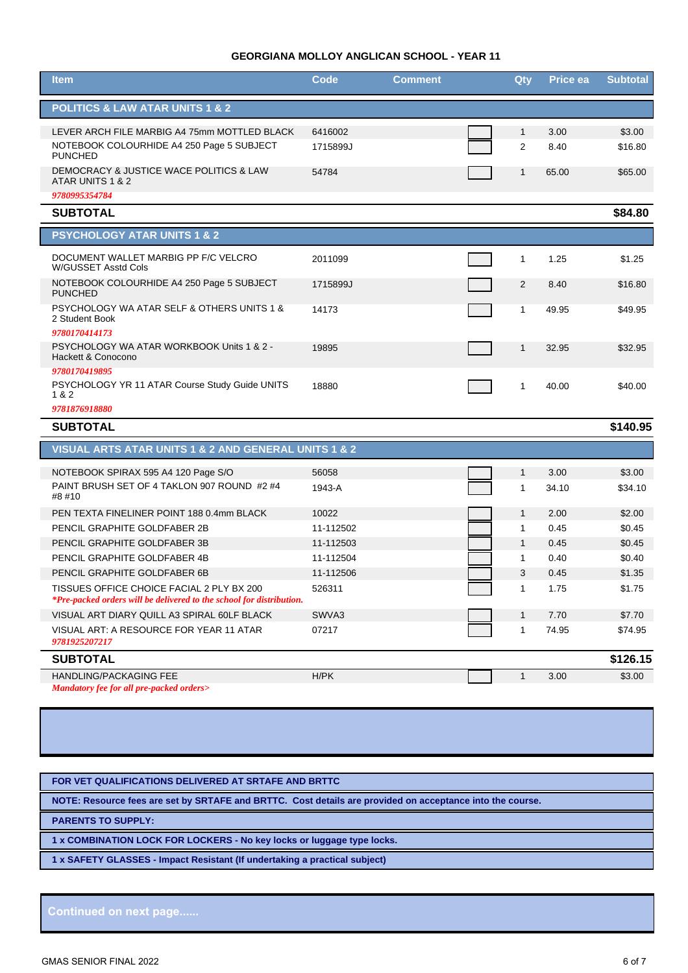## **GEORGIANA MOLLOY ANGLICAN SCHOOL - YEAR 11**

| <b>Item</b>                                                                                                       | Code      | <b>Comment</b> | Qty          | Price ea | <b>Subtotal</b> |
|-------------------------------------------------------------------------------------------------------------------|-----------|----------------|--------------|----------|-----------------|
| <b>POLITICS &amp; LAW ATAR UNITS 1 &amp; 2</b>                                                                    |           |                |              |          |                 |
| LEVER ARCH FILE MARBIG A4 75mm MOTTLED BLACK                                                                      | 6416002   |                | $\mathbf{1}$ | 3.00     | \$3.00          |
| NOTEBOOK COLOURHIDE A4 250 Page 5 SUBJECT<br><b>PUNCHED</b>                                                       | 1715899J  |                | 2            | 8.40     | \$16.80         |
| DEMOCRACY & JUSTICE WACE POLITICS & LAW<br>ATAR UNITS 1 & 2                                                       | 54784     |                | 1            | 65.00    | \$65.00         |
| 9780995354784                                                                                                     |           |                |              |          |                 |
| <b>SUBTOTAL</b>                                                                                                   |           |                |              |          | \$84.80         |
| <b>PSYCHOLOGY ATAR UNITS 1 &amp; 2</b>                                                                            |           |                |              |          |                 |
| DOCUMENT WALLET MARBIG PP F/C VELCRO<br>W/GUSSET Asstd Cols                                                       | 2011099   |                | 1            | 1.25     | \$1.25          |
| NOTEBOOK COLOURHIDE A4 250 Page 5 SUBJECT<br><b>PUNCHED</b>                                                       | 1715899J  |                | 2            | 8.40     | \$16.80         |
| <b>PSYCHOLOGY WA ATAR SELF &amp; OTHERS UNITS 1 &amp;</b><br>2 Student Book                                       | 14173     |                | 1            | 49.95    | \$49.95         |
| 9780170414173                                                                                                     |           |                |              |          |                 |
| PSYCHOLOGY WA ATAR WORKBOOK Units 1 & 2 -<br>Hackett & Conocono                                                   | 19895     |                | $\mathbf{1}$ | 32.95    | \$32.95         |
| 9780170419895                                                                                                     |           |                |              |          |                 |
| PSYCHOLOGY YR 11 ATAR Course Study Guide UNITS<br>1 & 2                                                           | 18880     |                | 1            | 40.00    | \$40.00         |
| 9781876918880                                                                                                     |           |                |              |          |                 |
| <b>SUBTOTAL</b>                                                                                                   |           |                |              |          | \$140.95        |
| VISUAL ARTS ATAR UNITS 1 & 2 AND GENERAL UNITS 1 & 2                                                              |           |                |              |          |                 |
| NOTEBOOK SPIRAX 595 A4 120 Page S/O                                                                               | 56058     |                | $\mathbf{1}$ | 3.00     | \$3.00          |
| PAINT BRUSH SET OF 4 TAKLON 907 ROUND #2 #4<br>#8 #10                                                             | 1943-A    |                | 1            | 34.10    | \$34.10         |
| PEN TEXTA FINELINER POINT 188 0.4mm BLACK                                                                         | 10022     |                | $\mathbf{1}$ | 2.00     | \$2.00          |
| PENCIL GRAPHITE GOLDFABER 2B                                                                                      | 11-112502 |                | 1            | 0.45     | \$0.45          |
| PENCIL GRAPHITE GOLDFABER 3B                                                                                      | 11-112503 |                | $\mathbf{1}$ | 0.45     | \$0.45          |
| PENCIL GRAPHITE GOLDFABER 4B                                                                                      | 11-112504 |                | 1            | 0.40     | \$0.40          |
| PENCIL GRAPHITE GOLDFABER 6B                                                                                      | 11-112506 |                | 3            | 0.45     | \$1.35          |
| TISSUES OFFICE CHOICE FACIAL 2 PLY BX 200<br>*Pre-packed orders will be delivered to the school for distribution. | 526311    |                | 1            | 1.75     | \$1.75          |
| VISUAL ART DIARY QUILL A3 SPIRAL 60LF BLACK                                                                       | SWVA3     |                | $\mathbf{1}$ | 7.70     | \$7.70          |
| VISUAL ART: A RESOURCE FOR YEAR 11 ATAR<br>9781925207217                                                          | 07217     |                | 1            | 74.95    | \$74.95         |
| <b>SUBTOTAL</b>                                                                                                   |           |                |              |          | \$126.15        |
| HANDLING/PACKAGING FEE                                                                                            | H/PK      |                | $\mathbf{1}$ | 3.00     | \$3.00          |
| Mandatory fee for all pre-packed orders>                                                                          |           |                |              |          |                 |

**FOR VET QUALIFICATIONS DELIVERED AT SRTAFE AND BRTTC**

**NOTE: Resource fees are set by SRTAFE and BRTTC. Cost details are provided on acceptance into the course.**

**PARENTS TO SUPPLY:**

**1 x COMBINATION LOCK FOR LOCKERS - No key locks or luggage type locks.**

**1 x SAFETY GLASSES - Impact Resistant (If undertaking a practical subject)**

**Continued on next page......**